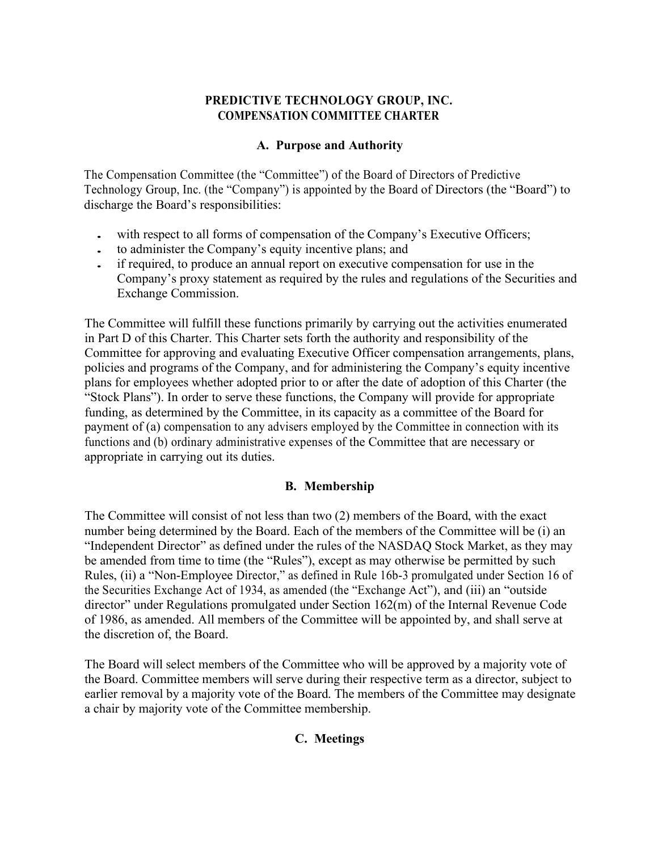# **PREDICTIVE TECHNOLOGY GROUP, INC. COMPENSATION COMMITTEE CHARTER**

## **A. Purpose and Authority**

The Compensation Committee (the "Committee") of the Board of Directors of Predictive Technology Group, Inc. (the "Company") is appointed by the Board of Directors (the "Board") to discharge the Board's responsibilities:

- with respect to all forms of compensation of the Company's Executive Officers;
- to administer the Company's equity incentive plans; and
- if required, to produce an annual report on executive compensation for use in the Company's proxy statement as required by the rules and regulations of the Securities and Exchange Commission.

The Committee will fulfill these functions primarily by carrying out the activities enumerated in Part D of this Charter. This Charter sets forth the authority and responsibility of the Committee for approving and evaluating Executive Officer compensation arrangements, plans, policies and programs of the Company, and for administering the Company's equity incentive plans for employees whether adopted prior to or after the date of adoption of this Charter (the "Stock Plans"). In order to serve these functions, the Company will provide for appropriate funding, as determined by the Committee, in its capacity as a committee of the Board for payment of (a) compensation to any advisers employed by the Committee in connection with its functions and (b) ordinary administrative expenses of the Committee that are necessary or appropriate in carrying out its duties.

### **B. Membership**

The Committee will consist of not less than two (2) members of the Board, with the exact number being determined by the Board. Each of the members of the Committee will be (i) an "Independent Director" as defined under the rules of the NASDAQ Stock Market, as they may be amended from time to time (the "Rules"), except as may otherwise be permitted by such Rules, (ii) a "Non-Employee Director," as defined in Rule 16b-3 promulgated under Section 16 of the Securities Exchange Act of 1934, as amended (the "Exchange Act"), and (iii) an "outside director" under Regulations promulgated under Section 162(m) of the Internal Revenue Code of 1986, as amended. All members of the Committee will be appointed by, and shall serve at the discretion of, the Board.

The Board will select members of the Committee who will be approved by a majority vote of the Board. Committee members will serve during their respective term as a director, subject to earlier removal by a majority vote of the Board. The members of the Committee may designate a chair by majority vote of the Committee membership.

### **C. Meetings**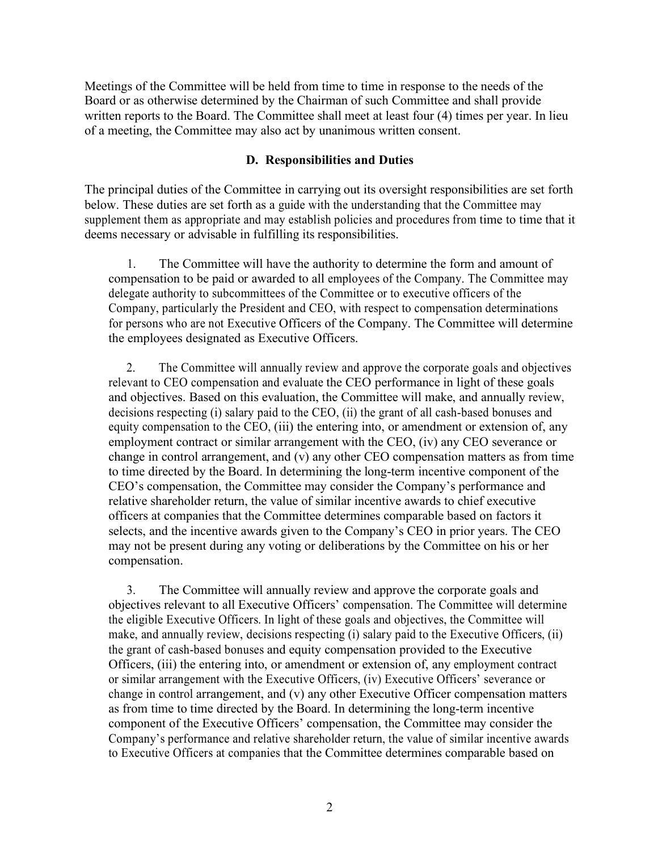Meetings of the Committee will be held from time to time in response to the needs of the Board or as otherwise determined by the Chairman of such Committee and shall provide written reports to the Board. The Committee shall meet at least four (4) times per year. In lieu of a meeting, the Committee may also act by unanimous written consent.

#### **D. Responsibilities and Duties**

The principal duties of the Committee in carrying out its oversight responsibilities are set forth below. These duties are set forth as a guide with the understanding that the Committee may supplement them as appropriate and may establish policies and procedures from time to time that it deems necessary or advisable in fulfilling its responsibilities.

1. The Committee will have the authority to determine the form and amount of compensation to be paid or awarded to all employees of the Company. The Committee may delegate authority to subcommittees of the Committee or to executive officers of the Company, particularly the President and CEO, with respect to compensation determinations for persons who are not Executive Officers of the Company. The Committee will determine the employees designated as Executive Officers.

2. The Committee will annually review and approve the corporate goals and objectives relevant to CEO compensation and evaluate the CEO performance in light of these goals and objectives. Based on this evaluation, the Committee will make, and annually review, decisions respecting (i) salary paid to the CEO, (ii) the grant of all cash-based bonuses and equity compensation to the CEO, (iii) the entering into, or amendment or extension of, any employment contract or similar arrangement with the CEO, (iv) any CEO severance or change in control arrangement, and (v) any other CEO compensation matters as from time to time directed by the Board. In determining the long-term incentive component of the CEO's compensation, the Committee may consider the Company's performance and relative shareholder return, the value of similar incentive awards to chief executive officers at companies that the Committee determines comparable based on factors it selects, and the incentive awards given to the Company's CEO in prior years. The CEO may not be present during any voting or deliberations by the Committee on his or her compensation.

3. The Committee will annually review and approve the corporate goals and objectives relevant to all Executive Officers' compensation. The Committee will determine the eligible Executive Officers. In light of these goals and objectives, the Committee will make, and annually review, decisions respecting (i) salary paid to the Executive Officers, (ii) the grant of cash-based bonuses and equity compensation provided to the Executive Officers, (iii) the entering into, or amendment or extension of, any employment contract or similar arrangement with the Executive Officers, (iv) Executive Officers' severance or change in control arrangement, and (v) any other Executive Officer compensation matters as from time to time directed by the Board. In determining the long-term incentive component of the Executive Officers' compensation, the Committee may consider the Company's performance and relative shareholder return, the value of similar incentive awards to Executive Officers at companies that the Committee determines comparable based on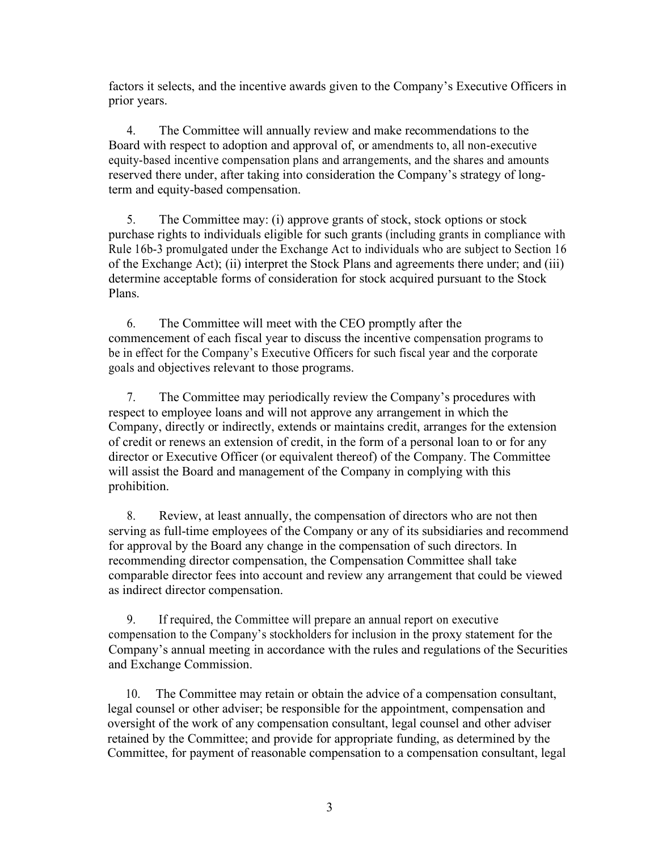factors it selects, and the incentive awards given to the Company's Executive Officers in prior years.

4. The Committee will annually review and make recommendations to the Board with respect to adoption and approval of, or amendments to, all non-executive equity-based incentive compensation plans and arrangements, and the shares and amounts reserved there under, after taking into consideration the Company's strategy of longterm and equity-based compensation.

5. The Committee may: (i) approve grants of stock, stock options or stock purchase rights to individuals eligible for such grants (including grants in compliance with Rule 16b-3 promulgated under the Exchange Act to individuals who are subject to Section 16 of the Exchange Act); (ii) interpret the Stock Plans and agreements there under; and (iii) determine acceptable forms of consideration for stock acquired pursuant to the Stock Plans.

6. The Committee will meet with the CEO promptly after the commencement of each fiscal year to discuss the incentive compensation programs to be in effect for the Company's Executive Officers for such fiscal year and the corporate goals and objectives relevant to those programs.

7. The Committee may periodically review the Company's procedures with respect to employee loans and will not approve any arrangement in which the Company, directly or indirectly, extends or maintains credit, arranges for the extension of credit or renews an extension of credit, in the form of a personal loan to or for any director or Executive Officer (or equivalent thereof) of the Company. The Committee will assist the Board and management of the Company in complying with this prohibition.

8. Review, at least annually, the compensation of directors who are not then serving as full-time employees of the Company or any of its subsidiaries and recommend for approval by the Board any change in the compensation of such directors. In recommending director compensation, the Compensation Committee shall take comparable director fees into account and review any arrangement that could be viewed as indirect director compensation.

9. If required, the Committee will prepare an annual report on executive compensation to the Company's stockholders for inclusion in the proxy statement for the Company's annual meeting in accordance with the rules and regulations of the Securities and Exchange Commission.

10. The Committee may retain or obtain the advice of a compensation consultant, legal counsel or other adviser; be responsible for the appointment, compensation and oversight of the work of any compensation consultant, legal counsel and other adviser retained by the Committee; and provide for appropriate funding, as determined by the Committee, for payment of reasonable compensation to a compensation consultant, legal